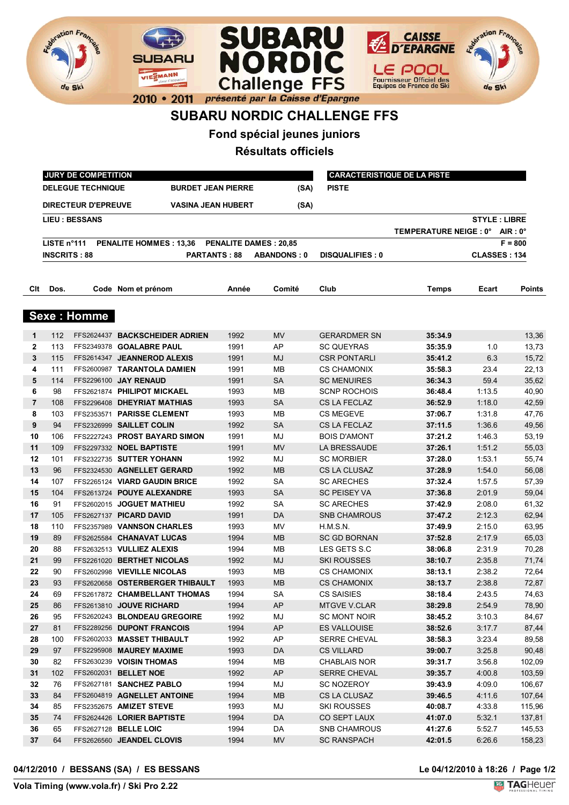



## **SUBARU NORDIC CHALLENGE FFS**

**Fond spécial jeunes juniors**

**Résultats officiels**

|              |                     | JURY DE COMPETITION        |                                              | <b>CARACTERISTIQUE DE LA PISTE</b> |                    |                        |                                 |                     |               |
|--------------|---------------------|----------------------------|----------------------------------------------|------------------------------------|--------------------|------------------------|---------------------------------|---------------------|---------------|
|              |                     | <b>DELEGUE TECHNIQUE</b>   | <b>BURDET JEAN PIERRE</b>                    |                                    | (SA)               | <b>PISTE</b>           |                                 |                     |               |
|              |                     | <b>DIRECTEUR D'EPREUVE</b> | <b>VASINA JEAN HUBERT</b>                    |                                    | (SA)               |                        |                                 |                     |               |
|              |                     | <b>LIEU : BESSANS</b>      |                                              |                                    |                    |                        |                                 | <b>STYLE: LIBRE</b> |               |
|              |                     |                            |                                              |                                    |                    |                        | TEMPERATURE NEIGE : 0° AIR : 0° |                     |               |
|              | LISTE n°111         |                            | PENALITE HOMMES: 13,36 PENALITE DAMES: 20,85 |                                    |                    |                        |                                 |                     | $F = 800$     |
|              | <b>INSCRITS: 88</b> |                            | <b>PARTANTS: 88</b>                          |                                    | <b>ABANDONS: 0</b> | <b>DISQUALIFIES: 0</b> |                                 | <b>CLASSES: 134</b> |               |
| Clt          | Dos.                |                            | Code Nom et prénom                           | Année                              | Comité             | Club                   | Temps                           | Ecart               | <b>Points</b> |
|              |                     | <b>Sexe: Homme</b>         |                                              |                                    |                    |                        |                                 |                     |               |
| 1            | 112                 |                            | FFS2624437 BACKSCHEIDER ADRIEN               | 1992                               | MV                 | <b>GERARDMER SN</b>    | 35:34.9                         |                     | 13,36         |
| $\mathbf{2}$ | 113                 |                            | FFS2349378 GOALABRE PAUL                     | 1991                               | AP                 | <b>SC QUEYRAS</b>      | 35:35.9                         | 1.0                 | 13,73         |
| 3            | 115                 |                            | FFS2614347 JEANNEROD ALEXIS                  | 1991                               | MJ                 | <b>CSR PONTARLI</b>    | 35:41.2                         | 6.3                 | 15,72         |
| 4            | 111                 |                            | FFS2600987 TARANTOLA DAMIEN                  | 1991                               | MВ                 | <b>CS CHAMONIX</b>     | 35:58.3                         | 23.4                | 22,13         |
| 5            | 114                 |                            | FFS2296100 JAY RENAUD                        | 1991                               | <b>SA</b>          | <b>SC MENUIRES</b>     | 36:34.3                         | 59.4                | 35,62         |
| 6            | 98                  |                            | FFS2621874 PHILIPOT MICKAEL                  | 1993                               | <b>MB</b>          | <b>SCNP ROCHOIS</b>    | 36:48.4                         | 1:13.5              | 40,90         |
| 7            | 108                 |                            | FFS2296408 DHEYRIAT MATHIAS                  | 1993                               | <b>SA</b>          | <b>CS LA FECLAZ</b>    | 36:52.9                         | 1:18.0              | 42,59         |
| 8            | 103                 |                            | FFS2353571 PARISSE CLEMENT                   | 1993                               | MВ                 | <b>CS MEGEVE</b>       | 37:06.7                         | 1:31.8              | 47,76         |
| 9            | 94                  |                            | FFS2326999 SAILLET COLIN                     | 1992                               | SA                 | <b>CS LA FECLAZ</b>    | 37:11.5                         | 1:36.6              | 49,56         |
| 10           | 106                 |                            | FFS2227243 PROST BAYARD SIMON                | 1991                               | MJ                 | <b>BOIS D'AMONT</b>    | 37:21.2                         | 1:46.3              | 53,19         |
| 11           | 109                 |                            | FFS2297332 NOEL BAPTISTE                     | 1991                               | <b>MV</b>          | LA BRESSAUDE           | 37:26.1                         | 1:51.2              | 55,03         |
| 12           | 101                 |                            | FFS2322735 SUTTER YOHANN                     | 1992                               | MJ                 | <b>SC MORBIER</b>      | 37:28.0                         | 1:53.1              | 55,74         |
| 13           | 96                  |                            | FFS2324530 AGNELLET GERARD                   | 1992                               | <b>MB</b>          | CS LA CLUSAZ           | 37:28.9                         | 1:54.0              | 56,08         |
| 14           | 107                 |                            | FFS2265124 VIARD GAUDIN BRICE                | 1992                               | <b>SA</b>          | <b>SC ARECHES</b>      | 37:32.4                         | 1:57.5              | 57,39         |
| 15           | 104                 |                            | FFS2613724 POUYE ALEXANDRE                   | 1993                               | <b>SA</b>          | <b>SC PEISEY VA</b>    | 37:36.8                         | 2:01.9              | 59,04         |
| 16           | 91                  |                            | FFS2602015 JOGUET MATHIEU                    | 1992                               | SА                 | <b>SC ARECHES</b>      | 37:42.9                         | 2:08.0              | 61,32         |
| 17           | 105                 |                            | FFS2627137 PICARD DAVID                      | 1991                               | DA                 | <b>SNB CHAMROUS</b>    | 37:47.2                         | 2:12.3              | 62,94         |
| 18           | 110                 |                            | FFS2357989 VANNSON CHARLES                   | 1993                               | MV                 | H.M.S.N.               | 37:49.9                         | 2:15.0              | 63,95         |
| 19           | 89                  |                            | FFS2625584 CHANAVAT LUCAS                    | 1994                               | <b>MB</b>          | <b>SC GD BORNAN</b>    | 37:52.8                         | 2:17.9              | 65,03         |
| 20           | 88                  |                            | FFS2632513 VULLIEZ ALEXIS                    | 1994                               | MВ                 | LES GETS S.C           | 38:06.8                         | 2:31.9              | 70,28         |
| 21           | 99                  |                            | FFS2261020 BERTHET NICOLAS                   | 1992                               | MJ                 | <b>SKI ROUSSES</b>     | 38:10.7                         | 2:35.8              | 71,74         |
| 22           | 90                  |                            | FFS2602998 VIEVILLE NICOLAS                  | 1993                               | MВ                 | <b>CS CHAMONIX</b>     | 38:13.1                         | 2:38.2              | 72,64         |
| 23           | 93                  |                            | FFS2620658 OSTERBERGER THIBAULT              | 1993                               | <b>MB</b>          | <b>CS CHAMONIX</b>     | 38:13.7                         | 2:38.8              | 72,87         |
| 24           | 69                  |                            | FFS2617872 CHAMBELLANT THOMAS                | 1994                               | <b>SA</b>          | <b>CS SAISIES</b>      | 38:18.4                         | 2:43.5              | 74,63         |
| 25           | 86                  |                            | FFS2613810 JOUVE RICHARD                     | 1994                               | AP                 | <b>MTGVE V.CLAR</b>    | 38:29.8                         | 2:54.9              | 78,90         |
| 26           | 95                  |                            | FFS2620243 BLONDEAU GREGOIRE                 | 1992                               | MJ                 | <b>SC MONT NOIR</b>    | 38:45.2                         | 3:10.3              | 84,67         |
| 27           | 81                  |                            | FFS2289256 DUPONT FRANCOIS                   | 1994                               | ${\sf AP}$         | ES VALLOUISE           | 38:52.6                         | 3:17.7              | 87,44         |
| 28           | 100                 |                            | FFS2602033 MASSET THIBAULT                   | 1992                               | AP                 | SERRE CHEVAL           | 38:58.3                         | 3:23.4              | 89,58         |
| 29           | 97                  |                            | FFS2295908 MAUREY MAXIME                     | 1993                               | DA                 | <b>CS VILLARD</b>      | 39:00.7                         | 3:25.8              | 90,48         |
| 30           | 82                  |                            | FFS2630239 VOISIN THOMAS                     | 1994                               | MВ                 | <b>CHABLAIS NOR</b>    | 39:31.7                         | 3:56.8              | 102,09        |
| 31           | 102                 |                            | FFS2602031 BELLET NOE                        | 1992                               | AP                 | <b>SERRE CHEVAL</b>    | 39:35.7                         | 4:00.8              | 103,59        |
| 32           | 76                  |                            | FFS2627181 SANCHEZ PABLO                     | 1994                               | MJ                 | <b>SC NOZEROY</b>      | 39:43.9                         | 4:09.0              | 106,67        |
| 33           | 84                  |                            | FFS2604819 AGNELLET ANTOINE                  | 1994                               | <b>MB</b>          | CS LA CLUSAZ           | 39:46.5                         | 4:11.6              | 107,64        |
| 34           | 85                  |                            | FFS2352675 AMIZET STEVE                      | 1993                               | MJ                 | <b>SKI ROUSSES</b>     | 40:08.7                         | 4:33.8              | 115,96        |
| 35           | 74                  |                            | FFS2624426 LORIER BAPTISTE                   | 1994                               | DA                 | CO SEPT LAUX           | 41:07.0                         | 5:32.1              | 137,81        |
| 36           | 65                  |                            | FFS2627128 BELLE LOIC                        | 1994                               | DA                 | SNB CHAMROUS           | 41:27.6                         | 5:52.7              | 145,53        |
| 37           | 64                  |                            | FFS2626560 JEANDEL CLOVIS                    | 1994                               | MV                 | <b>SC RANSPACH</b>     | 42:01.5                         | 6:26.6              | 158,23        |

## **04/12/2010 / BESSANS (SA) / ES BESSANS Le 04/12/2010 à 18:26 / Page 1/2**

**Vola Timing (www.vola.fr) / Ski Pro 2.22**

**Repretion Fre** 

de Ski

**SUBARU** 

VIESMANN